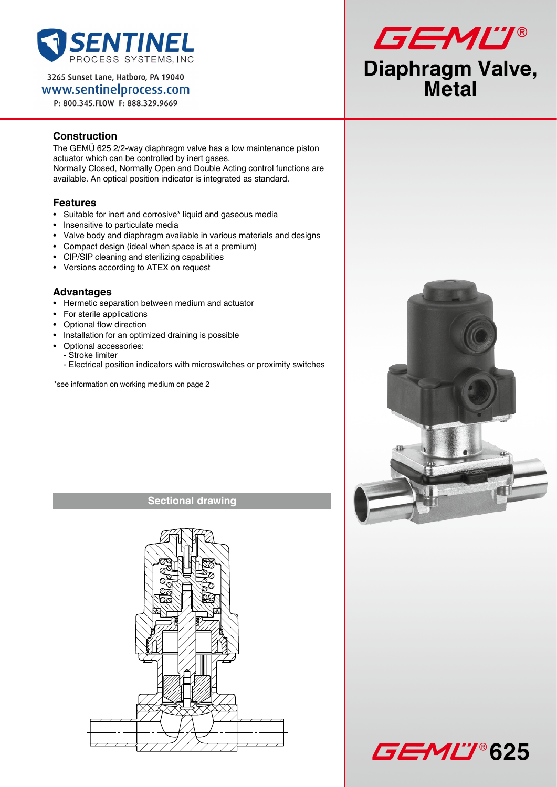

3265 Sunset Lane, Hatboro, PA 19040 www.sentinelprocess.com

P: 800.345.FLOW F: 888.329.9669



#### **Construction**

The GEMÜ 625 2/2-way diaphragm valve has a low maintenance piston actuator which can be controlled by inert gases. Normally Closed, Normally Open and Double Acting control functions are available. An optical position indicator is integrated as standard.

#### **Features**

- • Suitable for inert and corrosive\* liquid and gaseous media
- • Insensitive to particulate media
- Valve body and diaphragm available in various materials and designs
- Compact design (ideal when space is at a premium)
- • CIP/SIP cleaning and sterilizing capabilities
- • Versions according to ATEX on request

#### **Advantages**

- • Hermetic separation between medium and actuator
- • For sterile applications
- • Optional flow direction
- • Installation for an optimized draining is possible
- • Optional accessories:
	- Stroke limiter - Electrical position indicators with microswitches or proximity switches
	-

\*see information on working medium on page 2

#### **Sectional drawing**





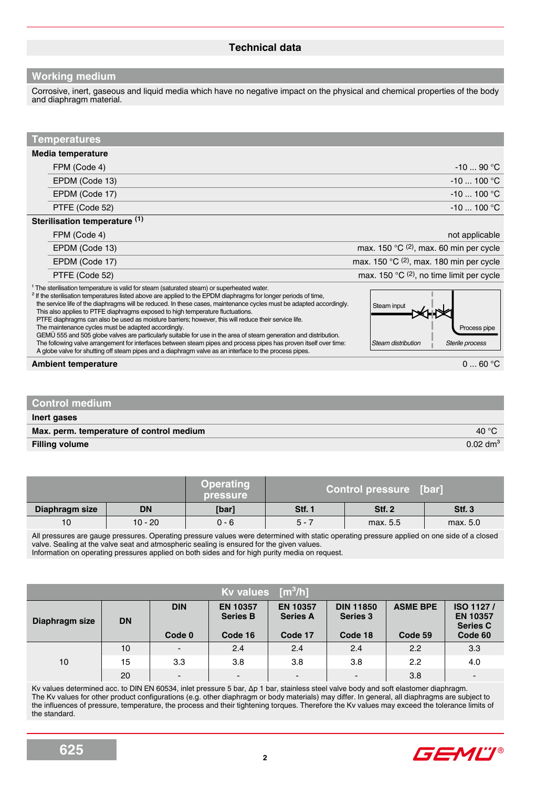#### **Working medium**

Corrosive, inert, gaseous and liquid media which have no negative impact on the physical and chemical properties of the body and diaphragm material.

|                                                                                                                                                                                                                                                                                                                                                                                                                                                                                                                                                                                                                                                                                                                                                                                                                                                                                                                                                                                                                                                                                                                                                                                                  | FPM (Code 4)   | $-1090 °C$                                         |  |  |  |
|--------------------------------------------------------------------------------------------------------------------------------------------------------------------------------------------------------------------------------------------------------------------------------------------------------------------------------------------------------------------------------------------------------------------------------------------------------------------------------------------------------------------------------------------------------------------------------------------------------------------------------------------------------------------------------------------------------------------------------------------------------------------------------------------------------------------------------------------------------------------------------------------------------------------------------------------------------------------------------------------------------------------------------------------------------------------------------------------------------------------------------------------------------------------------------------------------|----------------|----------------------------------------------------|--|--|--|
|                                                                                                                                                                                                                                                                                                                                                                                                                                                                                                                                                                                                                                                                                                                                                                                                                                                                                                                                                                                                                                                                                                                                                                                                  | EPDM (Code 13) | $-10100$ °C                                        |  |  |  |
|                                                                                                                                                                                                                                                                                                                                                                                                                                                                                                                                                                                                                                                                                                                                                                                                                                                                                                                                                                                                                                                                                                                                                                                                  | EPDM (Code 17) | $-10100 °C$                                        |  |  |  |
|                                                                                                                                                                                                                                                                                                                                                                                                                                                                                                                                                                                                                                                                                                                                                                                                                                                                                                                                                                                                                                                                                                                                                                                                  | PTFE (Code 52) | $-10100$ °C                                        |  |  |  |
|                                                                                                                                                                                                                                                                                                                                                                                                                                                                                                                                                                                                                                                                                                                                                                                                                                                                                                                                                                                                                                                                                                                                                                                                  |                |                                                    |  |  |  |
| <b>Temperatures</b><br>Media temperature<br>Sterilisation temperature (1)<br>FPM (Code 4)<br>not applicable<br>EPDM (Code 13)<br>EPDM (Code 17)<br>PTFE (Code 52)<br><sup>1</sup> The sterilisation temperature is valid for steam (saturated steam) or superheated water.<br><sup>2</sup> If the sterilisation temperatures listed above are applied to the EPDM diaphragms for longer periods of time,<br>the service life of the diaphragms will be reduced. In these cases, maintenance cycles must be adapted accordingly.<br>Steam input<br>This also applies to PTFE diaphragms exposed to high temperature fluctuations.<br>PTFE diaphragms can also be used as moisture barriers; however, this will reduce their service life.<br>The maintenance cycles must be adapted accordingly.<br>GEMU 555 and 505 globe valves are particularly suitable for use in the area of steam generation and distribution.<br>The following valve arrangement for interfaces between steam pipes and process pipes has proven itself over time:<br>Steam distribution<br>A globe valve for shutting off steam pipes and a diaphragm valve as an interface to the process pipes.<br>Ambient temperature |                |                                                    |  |  |  |
|                                                                                                                                                                                                                                                                                                                                                                                                                                                                                                                                                                                                                                                                                                                                                                                                                                                                                                                                                                                                                                                                                                                                                                                                  |                | max. 150 °C (2), max. 60 min per cycle             |  |  |  |
|                                                                                                                                                                                                                                                                                                                                                                                                                                                                                                                                                                                                                                                                                                                                                                                                                                                                                                                                                                                                                                                                                                                                                                                                  |                | max. 150 $^{\circ}$ C (2), max. 180 min per cycle  |  |  |  |
|                                                                                                                                                                                                                                                                                                                                                                                                                                                                                                                                                                                                                                                                                                                                                                                                                                                                                                                                                                                                                                                                                                                                                                                                  |                | max. 150 $\mathrm{C}$ (2), no time limit per cycle |  |  |  |
|                                                                                                                                                                                                                                                                                                                                                                                                                                                                                                                                                                                                                                                                                                                                                                                                                                                                                                                                                                                                                                                                                                                                                                                                  |                | Process pipe<br>Sterile process                    |  |  |  |
|                                                                                                                                                                                                                                                                                                                                                                                                                                                                                                                                                                                                                                                                                                                                                                                                                                                                                                                                                                                                                                                                                                                                                                                                  |                | $0 \dots 60 °C$                                    |  |  |  |

#### **Control medium**

#### **Inert gases**

**Max. perm. temperature of control medium** 40 °C and the state of the state of the state of the state of the state of the state of the state of the state of the state of the state of the state of the state of the state of

#### **Filling volume** 0.02 dm<sup>3</sup>

|                |           | <b>Operating</b><br><b>pressure</b> |               | Control pressure [bar] |          |  |
|----------------|-----------|-------------------------------------|---------------|------------------------|----------|--|
| Diaphragm size | <b>DN</b> | [bar]                               | <b>Stf. 1</b> | <b>Stf. 2</b>          | Stf.3    |  |
| 10             | $10 - 20$ | $0 - 6$                             | $5 - 7$       | max. 5.5               | max. 5.0 |  |

All pressures are gauge pressures. Operating pressure values were determined with static operating pressure applied on one side of a closed valve. Sealing at the valve seat and atmospheric sealing is ensured for the given values. Information on operating pressures applied on both sides and for high purity media on request.

| $\lceil m^3/h \rceil$<br>Kv values |           |                          |                                    |                                    |                                     |                 |                                                        |  |  |
|------------------------------------|-----------|--------------------------|------------------------------------|------------------------------------|-------------------------------------|-----------------|--------------------------------------------------------|--|--|
| Diaphragm size                     | <b>DN</b> | <b>DIN</b>               | <b>EN 10357</b><br><b>Series B</b> | <b>EN 10357</b><br><b>Series A</b> | <b>DIN 11850</b><br><b>Series 3</b> | <b>ASME BPE</b> | <b>ISO 1127/</b><br><b>EN 10357</b><br><b>Series C</b> |  |  |
|                                    |           | Code 0                   | Code 16                            | Code 17                            | Code 18                             | Code 59         | Code 60                                                |  |  |
|                                    | 10        |                          | 2.4                                | 2.4                                | 2.4                                 | 2.2             | 3.3                                                    |  |  |
| 10                                 | 15        | 3.3                      | 3.8                                | 3.8                                | 3.8                                 | 2.2             | 4.0                                                    |  |  |
|                                    | 20        | $\overline{\phantom{0}}$ |                                    | $\overline{\phantom{a}}$           |                                     | 3.8             | $\blacksquare$                                         |  |  |

Kv values determined acc. to DIN EN 60534, inlet pressure 5 bar, ∆p 1 bar, stainless steel valve body and soft elastomer diaphragm. The Kv values for other product configurations (e.g. other diaphragm or body materials) may differ. In general, all diaphragms are subject to the influences of pressure, temperature, the process and their tightening torques. Therefore the Kv values may exceed the tolerance limits of the standard.

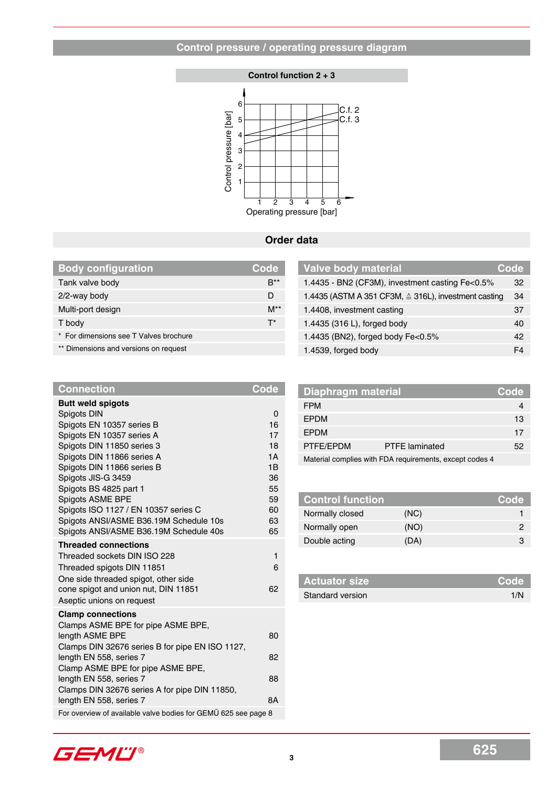# **Control pressure / operating pressure diagram**



# **Order data**

| <b>Body configuration</b>              | <b>Code</b>      |
|----------------------------------------|------------------|
| Tank valve body                        | $R^{\star\star}$ |
| $2/2$ -way body                        | D                |
| Multi-port design                      | $M^{**}$         |
| T body                                 | $T^*$            |
| * For dimensions see T Valves brochure |                  |
| ** Dimensions and versions on request  |                  |

| <b>Valve body material</b>                           | Code |
|------------------------------------------------------|------|
| 1.4435 - BN2 (CF3M), investment casting Fe<0.5%      | 32   |
| 1.4435 (ASTM A 351 CF3M, △ 316L), investment casting | 34   |
| 1.4408, investment casting                           | 37   |
| 1.4435 (316 L), forged body                          | 40   |
| 1.4435 (BN2), forged body Fe<0.5%                    | 42   |
| 1.4539, forged body                                  | FЛ   |

| Connection                                                                       | Code      |
|----------------------------------------------------------------------------------|-----------|
| <b>Butt weld spigots</b>                                                         |           |
| Spigots DIN                                                                      | 0         |
| Spigots EN 10357 series B                                                        | 16        |
| Spigots EN 10357 series A                                                        | 17        |
| Spigots DIN 11850 series 3                                                       | 18        |
| Spigots DIN 11866 series A                                                       | 1A        |
| Spigots DIN 11866 series B                                                       | 1B        |
| Spigots JIS-G 3459                                                               | 36        |
| Spigots BS 4825 part 1                                                           | 55        |
| Spigots ASME BPE                                                                 | 59        |
| Spigots ISO 1127 / EN 10357 series C                                             | 60<br>63  |
| Spigots ANSI/ASME B36.19M Schedule 10s<br>Spigots ANSI/ASME B36.19M Schedule 40s | 65        |
|                                                                                  |           |
| <b>Threaded connections</b>                                                      |           |
| Threaded sockets DIN ISO 228                                                     | 1         |
| Threaded spigots DIN 11851                                                       | 6         |
| One side threaded spigot, other side                                             | 62        |
| cone spigot and union nut, DIN 11851                                             |           |
| Aseptic unions on request                                                        |           |
| <b>Clamp connections</b>                                                         |           |
| Clamps ASME BPE for pipe ASME BPE,                                               |           |
| length ASME BPE                                                                  | 80        |
| Clamps DIN 32676 series B for pipe EN ISO 1127,                                  |           |
| length EN 558, series 7                                                          | 82        |
| Clamp ASME BPE for pipe ASME BPE,<br>length EN 558, series 7                     | 88        |
|                                                                                  |           |
| Clamps DIN 32676 series A for pipe DIN 11850,<br>length EN 558, series 7         | <b>8A</b> |
| For overview of available valve bodies for GEMÜ 625 see page 8                   |           |

| <b>Diaphragm material</b> |                                                         | Code |
|---------------------------|---------------------------------------------------------|------|
| <b>FPM</b>                |                                                         |      |
| <b>EPDM</b>               |                                                         | 13   |
| <b>EPDM</b>               |                                                         | 17   |
| PTFE/EPDM                 | <b>PTFE</b> laminated                                   | 52   |
|                           | Material complies with FDA requirements, except codes 4 |      |

| <b>Control function</b> |      | <b>Code</b> |
|-------------------------|------|-------------|
| Normally closed         | (NC) |             |
| Normally open           | (NO) |             |
| Double acting           | (DA) |             |

| <b>Actuator size</b> | Code |
|----------------------|------|
| Standard version     | 1/N  |

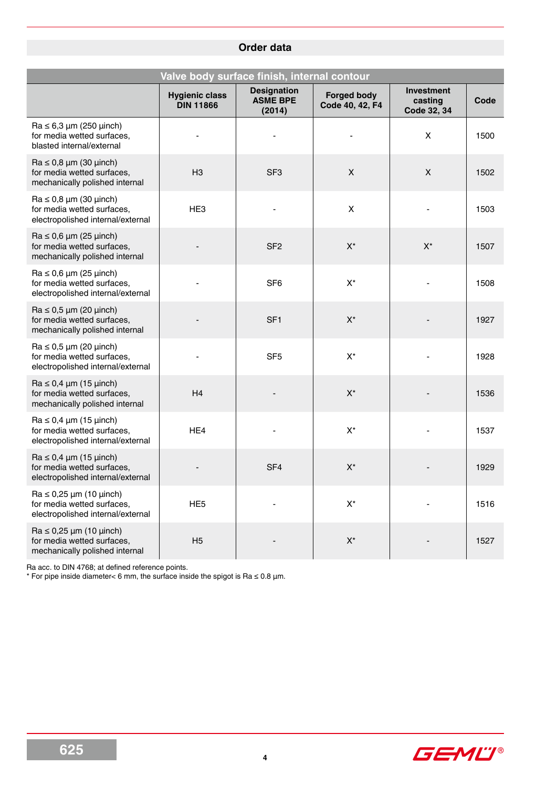# **Order data**

| Valve body surface finish, internal contour                                                            |                                           |                                                 |                                       |                                             |      |  |  |
|--------------------------------------------------------------------------------------------------------|-------------------------------------------|-------------------------------------------------|---------------------------------------|---------------------------------------------|------|--|--|
|                                                                                                        | <b>Hygienic class</b><br><b>DIN 11866</b> | <b>Designation</b><br><b>ASME BPE</b><br>(2014) | <b>Forged body</b><br>Code 40, 42, F4 | <b>Investment</b><br>casting<br>Code 32, 34 | Code |  |  |
| $Ra \le 6.3 \mu m$ (250 $\mu$ inch)<br>for media wetted surfaces,<br>blasted internal/external         |                                           |                                                 |                                       | X                                           | 1500 |  |  |
| $Ra \le 0.8 \mu m$ (30 $\mu$ inch)<br>for media wetted surfaces,<br>mechanically polished internal     | H3                                        | SF <sub>3</sub>                                 | X                                     | X                                           | 1502 |  |  |
| $Ra \le 0.8 \mu m$ (30 $\mu$ inch)<br>for media wetted surfaces,<br>electropolished internal/external  | HE <sub>3</sub>                           |                                                 | $\pmb{\times}$                        |                                             | 1503 |  |  |
| $Ra \le 0.6 \mu m (25 \mu inch)$<br>for media wetted surfaces,<br>mechanically polished internal       |                                           | SF <sub>2</sub>                                 | $X^*$                                 | $X^*$                                       | 1507 |  |  |
| $Ra \le 0.6 \mu m (25 \mu inch)$<br>for media wetted surfaces,<br>electropolished internal/external    |                                           | SF <sub>6</sub>                                 | $X^*$                                 |                                             | 1508 |  |  |
| $Ra \leq 0.5$ µm (20 µinch)<br>for media wetted surfaces,<br>mechanically polished internal            |                                           | SF <sub>1</sub>                                 | $X^*$                                 |                                             | 1927 |  |  |
| $Ra \le 0.5 \mu m$ (20 $\mu$ inch)<br>for media wetted surfaces,<br>electropolished internal/external  |                                           | SF <sub>5</sub>                                 | $X^*$                                 |                                             | 1928 |  |  |
| $Ra \leq 0.4 \mu m$ (15 $\mu$ inch)<br>for media wetted surfaces,<br>mechanically polished internal    | H4                                        |                                                 | $X^*$                                 |                                             | 1536 |  |  |
| $Ra \leq 0.4 \mu m$ (15 $\mu$ inch)<br>for media wetted surfaces,<br>electropolished internal/external | HE4                                       |                                                 | $X^*$                                 |                                             | 1537 |  |  |
| $Ra \leq 0.4 \mu m$ (15 $\mu$ inch)<br>for media wetted surfaces,<br>electropolished internal/external |                                           | SF <sub>4</sub>                                 | $X^*$                                 |                                             | 1929 |  |  |
| $Ra \le 0.25 \mu m$ (10 $\mu$ inch)<br>for media wetted surfaces,<br>electropolished internal/external | HE <sub>5</sub>                           |                                                 | $X^*$                                 |                                             | 1516 |  |  |
| $Ra \le 0.25 \mu m$ (10 $\mu$ inch)<br>for media wetted surfaces,<br>mechanically polished internal    | H <sub>5</sub>                            |                                                 | $\mathsf{X}^\star$                    |                                             | 1527 |  |  |

Ra acc. to DIN 4768; at defined reference points.

\* For pipe inside diameter< 6 mm, the surface inside the spigot is Ra ≤ 0.8 µm.

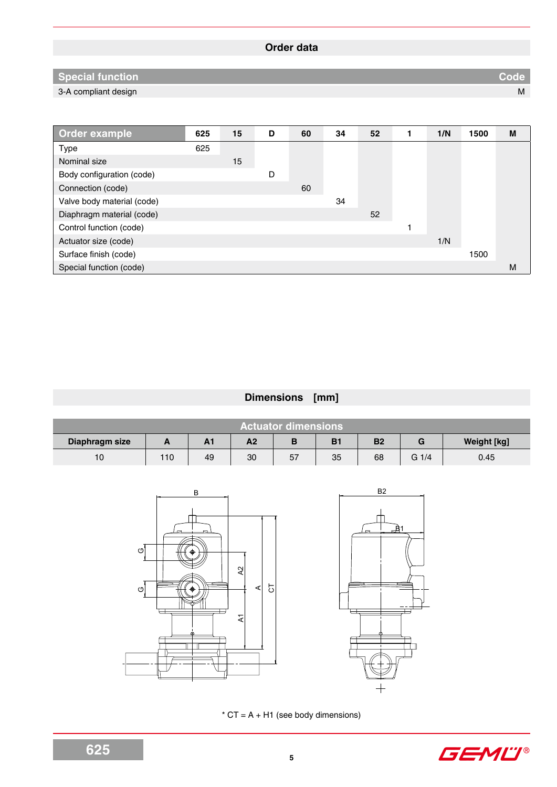### **Order data**

# **Special function Code**

3-A compliant design M

| <b>Order example</b>       | 625 | 15 | D | 60 | 34 | 52 | 1/N | 1500 | M |
|----------------------------|-----|----|---|----|----|----|-----|------|---|
| <b>Type</b>                | 625 |    |   |    |    |    |     |      |   |
| Nominal size               |     | 15 |   |    |    |    |     |      |   |
| Body configuration (code)  |     |    | D |    |    |    |     |      |   |
| Connection (code)          |     |    |   | 60 |    |    |     |      |   |
| Valve body material (code) |     |    |   |    | 34 |    |     |      |   |
| Diaphragm material (code)  |     |    |   |    |    | 52 |     |      |   |
| Control function (code)    |     |    |   |    |    |    |     |      |   |
| Actuator size (code)       |     |    |   |    |    |    | 1/N |      |   |
| Surface finish (code)      |     |    |   |    |    |    |     | 1500 |   |
| Special function (code)    |     |    |   |    |    |    |     |      | M |

# **Dimensions [mm]**

|                | <b>Actuator dimensions</b> |    |                |    |                |           |         |                    |  |  |  |  |  |  |  |
|----------------|----------------------------|----|----------------|----|----------------|-----------|---------|--------------------|--|--|--|--|--|--|--|
| Diaphragm size | <i>r</i>                   | A1 | A <sub>2</sub> | в  | B <sub>1</sub> | <b>B2</b> | G       | <b>Weight [kg]</b> |  |  |  |  |  |  |  |
| 10             | 110                        | 49 | 30             | 57 | 35             | 68        | $G_1/4$ | 0.45               |  |  |  |  |  |  |  |





 $*$  CT = A + H1 (see body dimensions)

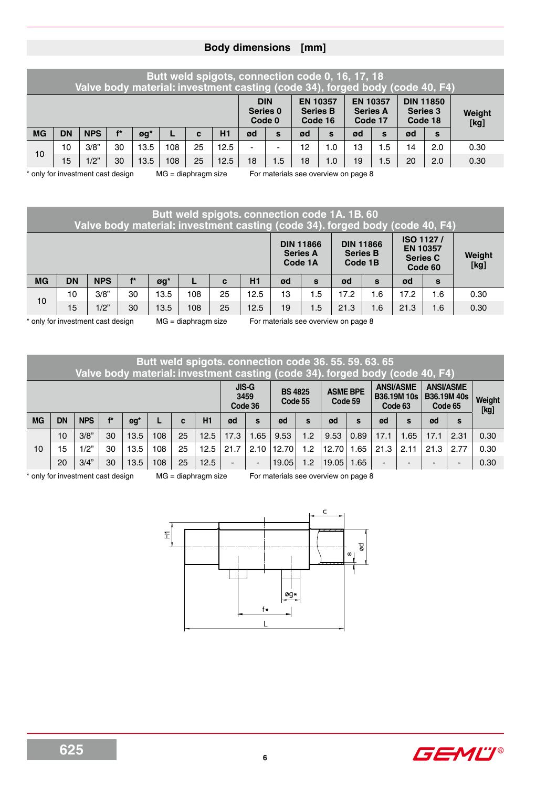# **Body dimensions [mm]**

| Butt weld spigots, connection code 0, 16, 17, 18<br>Valve body material: investment casting (code 34), forged body (code 40, F4) |           |            |       |                                        |     |    |      |                |                                  |    |                                               |    |                                               |                                         |          |                |
|----------------------------------------------------------------------------------------------------------------------------------|-----------|------------|-------|----------------------------------------|-----|----|------|----------------|----------------------------------|----|-----------------------------------------------|----|-----------------------------------------------|-----------------------------------------|----------|----------------|
|                                                                                                                                  |           |            |       |                                        |     |    |      |                | <b>DIN</b><br>Series 0<br>Code 0 |    | <b>EN 10357</b><br><b>Series B</b><br>Code 16 |    | <b>EN 10357</b><br><b>Series A</b><br>Code 17 | <b>DIN 11850</b><br>Series 3<br>Code 18 |          | Weight<br>[kg] |
| <b>MG</b>                                                                                                                        | <b>DN</b> | <b>NPS</b> | $f^*$ | $\boldsymbol{g}\boldsymbol{q}^{\star}$ |     | C  | H1   | ød<br>S        |                                  | ød | S                                             | ød | S                                             | ød                                      | <b>S</b> |                |
|                                                                                                                                  | 10        | 3/8"       | 30    | 13.5                                   | 108 | 25 | 12.5 | $\blacksquare$ | -                                | 12 | 1.0                                           | 13 | 1.5                                           | 14                                      | 2.0      | 0.30           |
| 10                                                                                                                               | 15        | 1/2"       | 30    | 13.5                                   | 108 | 25 | 12.5 | 18             | 1.5                              | 18 | 1.0                                           | 19 | 1.5                                           | 20                                      | 2.0      | 0.30           |

\* only for investment cast design MG = diaphragm size For materials see overview on page 8

|                                   | <b>Butt weld spigots. connection code 1A. 1B. 60</b><br>Valve body material: investment casting (code 34). forged body (code 40, F4) |            |             |                                        |                       |    |      |    |                                                |                                      |                  |      |                                                            |                |  |
|-----------------------------------|--------------------------------------------------------------------------------------------------------------------------------------|------------|-------------|----------------------------------------|-----------------------|----|------|----|------------------------------------------------|--------------------------------------|------------------|------|------------------------------------------------------------|----------------|--|
|                                   |                                                                                                                                      |            |             |                                        |                       |    |      |    | <b>DIN 11866</b><br><b>Series A</b><br>Code 1A | <b>Series B</b><br>Code 1B           | <b>DIN 11866</b> |      | ISO 1127/<br><b>EN 10357</b><br><b>Series C</b><br>Code 60 | Weight<br>[kg] |  |
| <b>MG</b>                         | <b>DN</b>                                                                                                                            | <b>NPS</b> | $f^{\star}$ | $\boldsymbol{g}\boldsymbol{g}^{\star}$ | L                     | c  | H1   | ød | $\mathbf{s}$                                   | ød                                   | S                | ød   | S                                                          |                |  |
| 10                                | 10                                                                                                                                   | 3/8"       | 30          | 13.5                                   | 108                   | 25 | 12.5 | 13 | 1.5                                            | 17.2                                 | 1.6              | 17.2 | 1.6                                                        | 0.30           |  |
|                                   | 15                                                                                                                                   | 1/2"       | 30          | 13.5                                   | 108                   | 25 | 12.5 | 19 | 1.5                                            | 21.3                                 | 1.6              | 21.3 | 1.6                                                        | 0.30           |  |
| * only for investment cast design |                                                                                                                                      |            |             |                                        | $MG = diaphragm size$ |    |      |    |                                                | For materials see overview on page 8 |                  |      |                                                            |                |  |

|           | Butt weld spigots. connection code 36. 55. 59. 63. 65<br>Valve body material: investment casting (code 34). forged body (code 40, F4) |            |    |                |     |    |      |                                 |                |                          |                  |                            |      |      |                                                   |         |                                       |                |
|-----------|---------------------------------------------------------------------------------------------------------------------------------------|------------|----|----------------|-----|----|------|---------------------------------|----------------|--------------------------|------------------|----------------------------|------|------|---------------------------------------------------|---------|---------------------------------------|----------------|
|           |                                                                                                                                       |            |    |                |     |    |      | <b>JIS-G</b><br>3459<br>Code 36 |                | <b>BS4825</b><br>Code 55 |                  | <b>ASME BPE</b><br>Code 59 |      |      | <b>ANSI/ASME</b><br><b>B36.19M 10s</b><br>Code 63 | Code 65 | <b>ANSI/ASME</b><br><b>B36.19M40s</b> | Weight<br>[kg] |
| <b>MG</b> | <b>DN</b>                                                                                                                             | <b>NPS</b> |    | øg*            |     | C  | H1   | ød                              | S              | ød                       | S                | ød                         | S    | ød   | S                                                 | ød      | S                                     |                |
|           | 10                                                                                                                                    | 3/8"       | 30 | $13.5^{\circ}$ | 108 | 25 | 12.5 | 17.3                            | .65            | 9.53                     | 1.2 <sub>1</sub> | 9.53                       | 0.89 | 17.1 | 1.65                                              | 17.1    | 2.31                                  | 0.30           |
| 10        | 15                                                                                                                                    | 1/2"       | 30 | 13.5           | 108 | 25 | 12.5 | 21.7                            | 2.10           | 12.70                    | 1.2              | 12.70                      | .65  | 21.3 | 2.11                                              | 21.3    | 2.77                                  | 0.30           |
|           | 20                                                                                                                                    | 3/4"       | 30 | 13.5           | 108 | 25 | 12.5 | $\blacksquare$                  | $\blacksquare$ | 19.05                    | 1.2              | 19.05                      | 1.65 | -    |                                                   |         | $\overline{\phantom{0}}$              | 0.30           |

\* only for investment cast design MG = diaphragm size For materials see overview on page 8



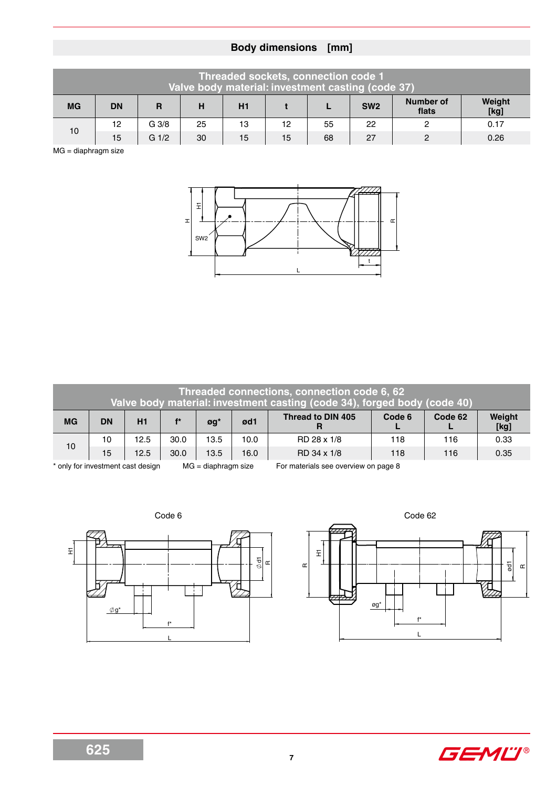# **Body dimensions [mm]**

|                                                           |           |                                                                                                                    |    |    | Threaded sockets, connection code 1 |    |    |  |      |  |  |  |  |  |  |
|-----------------------------------------------------------|-----------|--------------------------------------------------------------------------------------------------------------------|----|----|-------------------------------------|----|----|--|------|--|--|--|--|--|--|
| MG                                                        | <b>DN</b> | Valve body material: investment casting (code 37)<br>Weight<br>Number of<br>SW <sub>2</sub><br>H1<br>[kg]<br>flats |    |    |                                     |    |    |  |      |  |  |  |  |  |  |
|                                                           | 12        | G <sub>3/8</sub>                                                                                                   | 25 | 13 | 12                                  | 55 | 22 |  | 0.17 |  |  |  |  |  |  |
| 10<br>$G \frac{1}{2}$<br>30<br>15<br>27<br>68<br>15<br>15 |           |                                                                                                                    |    |    |                                     |    |    |  |      |  |  |  |  |  |  |

MG = diaphragm size



|           | Threaded connections, connection code 6, 62<br>Valve body material: investment casting (code 34), forged body (code 40) |                                   |      |                       |      |                                      |     |     |      |  |  |  |  |  |  |
|-----------|-------------------------------------------------------------------------------------------------------------------------|-----------------------------------|------|-----------------------|------|--------------------------------------|-----|-----|------|--|--|--|--|--|--|
| <b>MG</b> | Weight<br>Code 62<br>Thread to DIN 405<br>Code 6<br>ød1<br>$f^*$<br><b>DN</b><br>H1<br>$\boldsymbol{p}$<br>[kg]         |                                   |      |                       |      |                                      |     |     |      |  |  |  |  |  |  |
| 10        | 10                                                                                                                      | 12.5                              | 30.0 | 13.5                  | 10.0 | RD 28 x 1/8                          | 118 | 116 | 0.33 |  |  |  |  |  |  |
|           | 15                                                                                                                      | 12.5                              | 30.0 | 13.5                  | 16.0 | RD 34 x 1/8                          | 118 |     |      |  |  |  |  |  |  |
|           |                                                                                                                         | * only for investment cast design |      | $MG = diaphragm size$ |      | For materials see overview on page 8 |     |     |      |  |  |  |  |  |  |